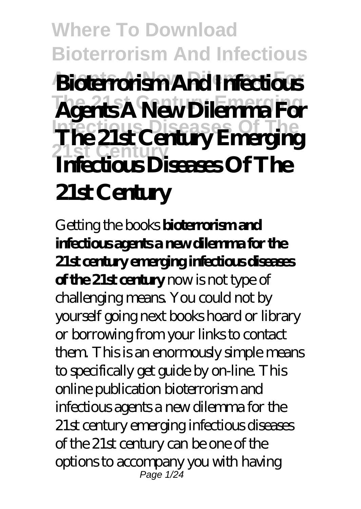#### **Where To Download Bioterrorism And Infectious Agents A New Dilemma For Bioterrorism And Infectious The 21st Century Emerging Agents A New Dilemma For Infectious Diseases Of The 21st Century The 21st Century Emerging Infectious Diseases Of The 21st Century**

Getting the books **bioterrorismand infectious agents a new dilemma for the 21st century emerging infectious diseases of the 21st century** now is not type of challenging means. You could not by yourself going next books hoard or library or borrowing from your links to contact them. This is an enormously simple means to specifically get guide by on-line. This online publication bioterrorism and infectious agents a new dilemma for the 21st century emerging infectious diseases of the 21st century can be one of the options to accompany you with having Page 1/24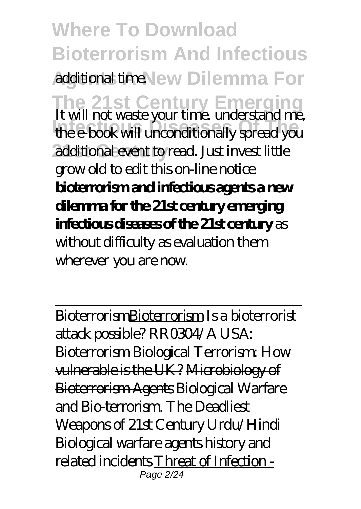**Where To Download Bioterrorism And Infectious Additional time.** New Dilemma For **The 21st Century Emerging** It will not waste your time. understand me, **Infectious Diseases Of The** the e-book will unconditionally spread you additional event to read. Just invest little grow old to edit this on-line notice **bioterrorism and infectious agents a new dilemma for the 21st century emerging infectious diseases of the 21st century** as without difficulty as evaluation them wherever you are now.

BioterrorismBioterrorism *Is a bioterrorist attack possible?* RR0304/A USA: Bioterrorism Biological Terrorism: How vulnerable is the UK? Microbiology of Bioterrorism Agents *Biological Warfare and Bio-terrorism. The Deadliest Weapons of 21st Century Urdu/Hindi Biological warfare agents history and related incidents* Threat of Infection - Page 2/24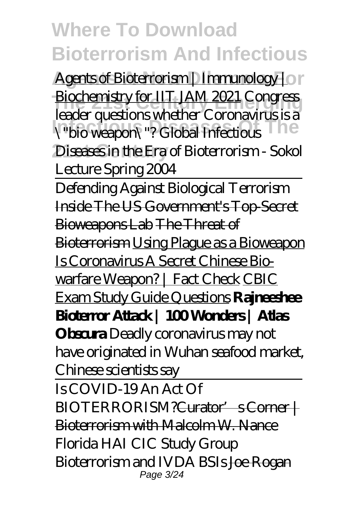Agents of Bioterrorism | Immunology | or **The 21st Century Emerging** Biochemistry for IIT JAM 2021 Congress **Infectious Diseases Of The** \"bio weapon\"? Global Infectious Diseases in the Era of Bioterrorism - Sokol leader questions whether Coronavirus is a Lecture Spring 2004

Defending Against Biological Terrorism Inside The US Government's Top-Secret Bioweapons Lab The Threat of Bioterrorism Using Plague as a Bioweapon Is Coronavirus A Secret Chinese Biowarfare Weapon? | Fact Check CBIC Exam Study Guide Questions **Rajneeshee Bioterror Attack | 100 Wonders | Atlas Obscura** *Deadly coronavirus may not have originated in Wuhan seafood market, Chinese scientists say* Is COVID-19 An Act Of BIOTERRORISM?<del>Curator' s Corner |</del> Bioterrorism with Malcolm W. Nance *Florida HAI CIC Study Group Bioterrorism and IVDA BSIs* Joe Rogan

Page 3/24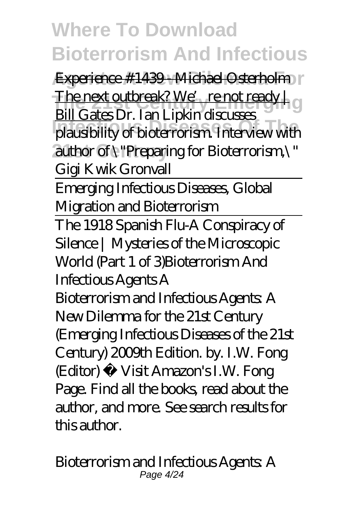Experience #1439 - Michael Osterholm r The next outbreak? We're not ready | g **Infectious** Diseases of The Little States of Theorem interview with author of \"Preparing for Bioterrorism,\" Bill Gates Dr. Ian Lipkin discusses Gigi Kwik Gronvall

Emerging Infectious Diseases, Global Migration and Bioterrorism The 1918 Spanish Flu-A Conspiracy of Silence | Mysteries of the Microscopic World (Part 1 of 3)*Bioterrorism And*

*Infectious Agents A*

Bioterrorism and Infectious Agents: A New Dilemma for the 21st Century (Emerging Infectious Diseases of the 21st Century) 2009th Edition. by. I.W. Fong (Editor) › Visit Amazon's I.W. Fong Page. Find all the books, read about the author, and more. See search results for this author.

*Bioterrorism and Infectious Agents: A* Page 4/24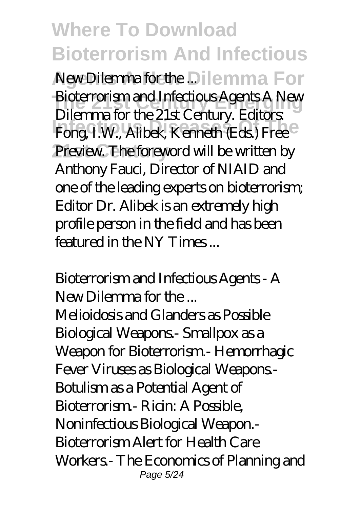A New Dilemma for the .Dilemma For **The 21st Century Emergency Agents A New**<br>
Biotecome Guate Century Editor **Indiana disease Office, Edition**<br>Fong, I.W., Alibek, Kenneth (Eds.) Free Preview. The foreword will be written by Dilemma for the 21st Century. Editors: Anthony Fauci, Director of NIAID and one of the leading experts on bioterrorism; Editor Dr. Alibek is an extremely high profile person in the field and has been featured in the NY Times ...

*Bioterrorism and Infectious Agents - A New Dilemma for the ...* Melioidosis and Glanders as Possible Biological Weapons.- Smallpox as a Weapon for Bioterrorism - Hemorrhagic Fever Viruses as Biological Weapons.- Botulism as a Potential Agent of Bioterrorism.- Ricin: A Possible, Noninfectious Biological Weapon.- Bioterrorism Alert for Health Care Workers.- The Economics of Planning and Page 5/24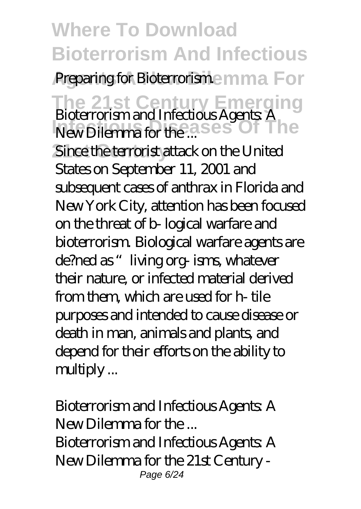**Where To Download Bioterrorism And Infectious Preparing for Bioterrorisme mma For The 21st Century Emerging** *Bioterrorism and Infectious Agents: A New Dilemma for the ...* **Ses Of The** 

Since the terrorist attack on the United States on September 11, 2001 and subsequent cases of anthrax in Florida and New York City, attention has been focused on the threat of b- logical warfare and bioterrorism. Biological warfare agents are de?ned as "living org- isms, whatever their nature, or infected material derived from them, which are used for h- tile purposes and intended to cause disease or death in man, animals and plants, and depend for their efforts on the ability to multiply ...

*Bioterrorism and Infectious Agents: A New Dilemma for the ...* Bioterrorism and Infectious Agents: A New Dilemma for the 21st Century - Page 6/24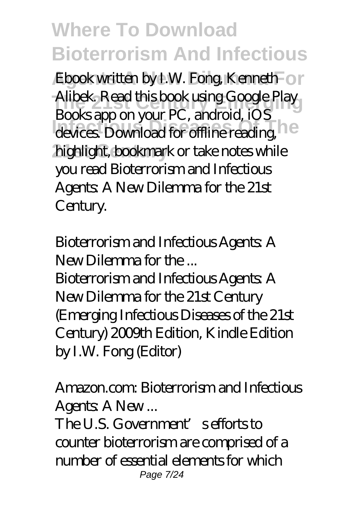Ebook written by I.W. Fong, Kenneth<sup>-</sup> or Alibek. Read this book using Google Play **Infectious Disease**, is devices. Download for offline reading, highlight, bookmark or take notes while Books app on your PC, android, iOS you read Bioterrorism and Infectious Agents: A New Dilemma for the 21st Century.

#### *Bioterrorism and Infectious Agents: A New Dilemma for the ...*

Bioterrorism and Infectious Agents: A New Dilemma for the 21st Century (Emerging Infectious Diseases of the 21st Century) 2009th Edition, Kindle Edition by I.W. Fong (Editor)

#### *Amazon.com: Bioterrorism and Infectious* Agents: A New...

The U.S. Government's efforts to counter bioterrorism are comprised of a number of essential elements for which Page 7/24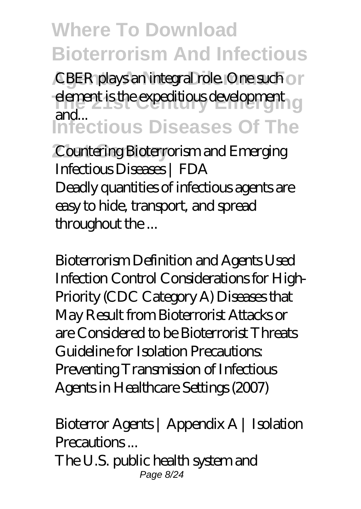CBER plays an integral role. One such on **The expeditious development Infectious Diseases Of The** and...

 $$ *Infectious Diseases | FDA* Deadly quantities of infectious agents are easy to hide, transport, and spread throughout the ...

*Bioterrorism Definition and Agents Used* Infection Control Considerations for High-Priority (CDC Category A) Diseases that May Result from Bioterrorist Attacks or are Considered to be Bioterrorist Threats Guideline for Isolation Precautions: Preventing Transmission of Infectious Agents in Healthcare Settings (2007)

#### *Bioterror Agents | Appendix A | Isolation Precautions ...*

The U.S. public health system and Page 8/24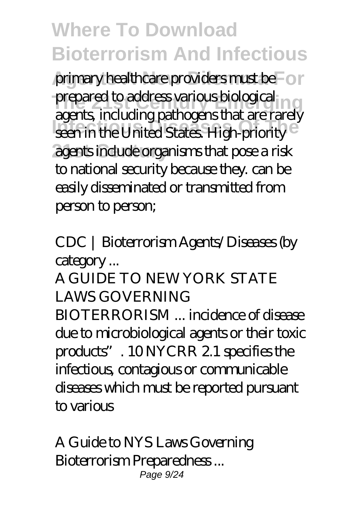primary healthcare providers must be For prepared to address various biological **Infectious** *Infectious* Constitution Constitution Constitution Constitution Constitution Constitution Constitution Constitution Constitution Constitution Constitution Constitution Constitution Constitution Constitution C **21st Century** agents include organisms that pose a risk agents, including pathogens that are rarely to national security because they. can be easily disseminated or transmitted from person to person;

*CDC | Bioterrorism Agents/Diseases (by category ...*

A GUIDE TO NEW YORK STATE LAWS GOVERNING BIOTERRORISM ... incidence of disease due to microbiological agents or their toxic products". 10 NYCRR 2.1 specifies the infectious, contagious or communicable diseases which must be reported pursuant to various

*A Guide to NYS Laws Governing Bioterrorism Preparedness ...* Page 9/24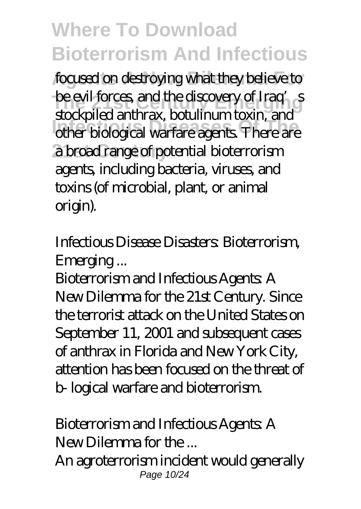focused on destroying what they believe to **The evil forces, and the discovery of Iraq's Infectious Diseases Of The** other biological warfare agents. There are **21st Century** a broad range of potential bioterrorism stockpiled anthrax, botulinum toxin, and agents, including bacteria, viruses, and toxins (of microbial, plant, or animal origin).

#### *Infectious Disease Disasters: Bioterrorism, Emerging ...*

Bioterrorism and Infectious Agents: A New Dilemma for the 21st Century. Since the terrorist attack on the United States on September 11, 2001 and subsequent cases of anthrax in Florida and New York City, attention has been focused on the threat of b- logical warfare and bioterrorism.

#### *Bioterrorism and Infectious Agents: A New Dilemma for the ...*

An agroterrorism incident would generally Page 10/24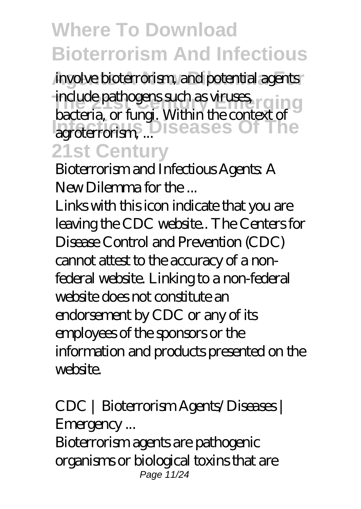involve bioterrorism, and potential agents **The 21st Century Emergency Emergency Street as viruses, reging Infectious** Diseases Of The **21st Century** bacteria, or fungi. Within the context of

*Bioterrorism and Infectious Agents: A New Dilemma for the ...*

Links with this icon indicate that you are leaving the CDC website.. The Centers for Disease Control and Prevention (CDC) cannot attest to the accuracy of a nonfederal website. Linking to a non-federal website does not constitute an endorsement by CDC or any of its employees of the sponsors or the information and products presented on the website.

*CDC | Bioterrorism Agents/Diseases | Emergency ...* Bioterrorism agents are pathogenic organisms or biological toxins that are Page 11/24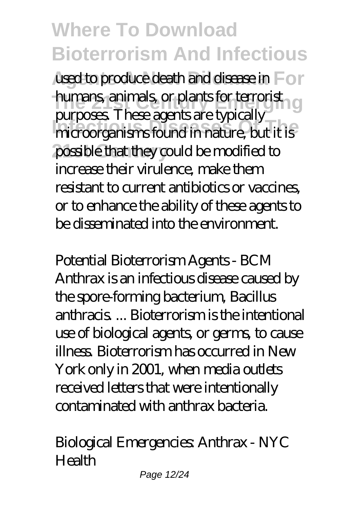used to produce death and disease in For **humans** animals, or plants for terrorist **Infectious Diseases Of The** microorganisms found in nature, but it is possible that they could be modified to purposes. These agents are typically increase their virulence, make them resistant to current antibiotics or vaccines, or to enhance the ability of these agents to be disseminated into the environment.

*Potential Bioterrorism Agents - BCM* Anthrax is an infectious disease caused by the spore-forming bacterium, Bacillus anthracis. Bioterrorism is the intentional use of biological agents, or germs, to cause illness. Bioterrorism has occurred in New York only in 2001, when media outlets received letters that were intentionally contaminated with anthrax bacteria.

#### *Biological Emergencies: Anthrax - NYC Health*

Page 12/24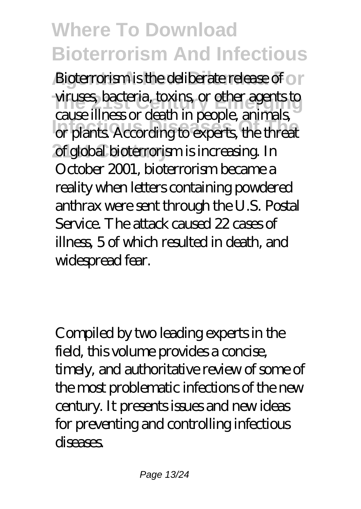**Bioterrorism is the deliberate release of or The 21st Century Emergency Century Emergency Century Emergency Century Emergency Infectious Diseases Of The** or plants. According to experts, the threat **21 of global bioterrorism is increasing.** In cause illness or death in people, animals, October 2001, bioterrorism became a reality when letters containing powdered anthrax were sent through the U.S. Postal Service. The attack caused 22 cases of illness, 5 of which resulted in death, and widespread fear.

Compiled by two leading experts in the field, this volume provides a concise, timely, and authoritative review of some of the most problematic infections of the new century. It presents issues and new ideas for preventing and controlling infectious diseases.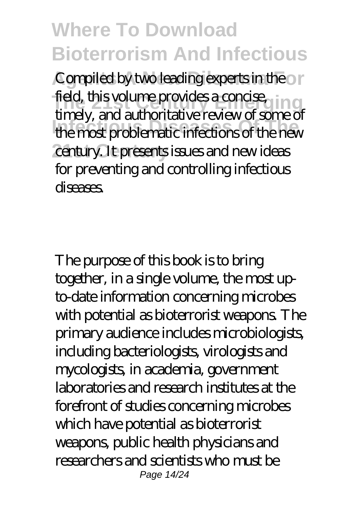Compiled by two leading experts in the or field, this volume provides a concise, in g **Infectious Diseases Of The** the most problematic infections of the new century. It presents issues and new ideas timely, and authoritative review of some of for preventing and controlling infectious diseases.

The purpose of this book is to bring together, in a single volume, the most upto-date information concerning microbes with potential as bioterrorist weapons. The primary audience includes microbiologists, including bacteriologists, virologists and mycologists, in academia, government laboratories and research institutes at the forefront of studies concerning microbes which have potential as bioterrorist weapons, public health physicians and researchers and scientists who must be Page 14/24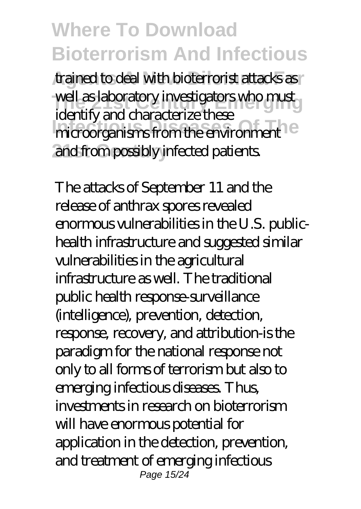trained to deal with bioterrorist attacks as well as laboratory investigators who must **International District Control Control Control Control Control Control Control Control Control Control Control Control Control Control Control Control Control Control Control Control Control Control Control Control Contro** and from possibly infected patients. identify and characterize these

The attacks of September 11 and the release of anthrax spores revealed enormous vulnerabilities in the U.S. publichealth infrastructure and suggested similar vulnerabilities in the agricultural infrastructure as well. The traditional public health response-surveillance (intelligence), prevention, detection, response, recovery, and attribution-is the paradigm for the national response not only to all forms of terrorism but also to emerging infectious diseases. Thus, investments in research on bioterrorism will have enormous potential for application in the detection, prevention, and treatment of emerging infectious Page 15/24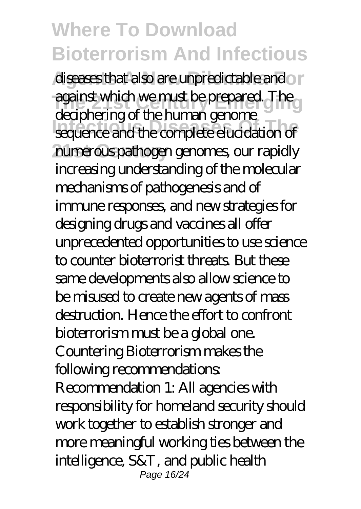diseases that also are unpredictable and a **The 21st Century Emerging** against which we must be prepared. The **Infectious Diseases Of The** sequence and the complete elucidation of numerous pathogen genomes, our rapidly deciphering of the human genome increasing understanding of the molecular mechanisms of pathogenesis and of immune responses, and new strategies for designing drugs and vaccines all offer unprecedented opportunities to use science to counter bioterrorist threats. But these same developments also allow science to be misused to create new agents of mass destruction. Hence the effort to confront bioterrorism must be a global one. Countering Bioterrorism makes the following recommendations: Recommendation 1: All agencies with responsibility for homeland security should work together to establish stronger and more meaningful working ties between the intelligence, S&T, and public health Page 16/24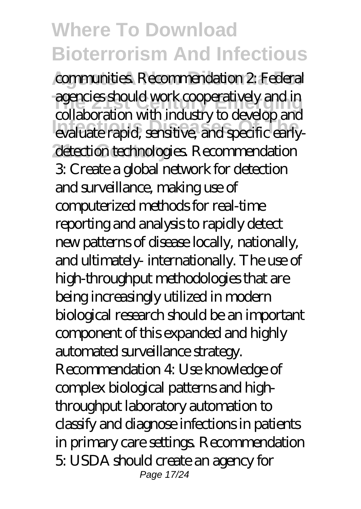communities. Recommendation 2: Federal **The 21st Century Emergencies should work cooperatively and in Infectious Diseases Of The** evaluate rapid, sensitive, and specific earlydetection technologies. Recommendation collaboration with industry to develop and 3: Create a global network for detection and surveillance, making use of computerized methods for real-time reporting and analysis to rapidly detect new patterns of disease locally, nationally, and ultimately- internationally. The use of high-throughput methodologies that are being increasingly utilized in modern biological research should be an important component of this expanded and highly automated surveillance strategy. Recommendation 4: Use knowledge of complex biological patterns and highthroughput laboratory automation to classify and diagnose infections in patients in primary care settings. Recommendation 5: USDA should create an agency for Page 17/24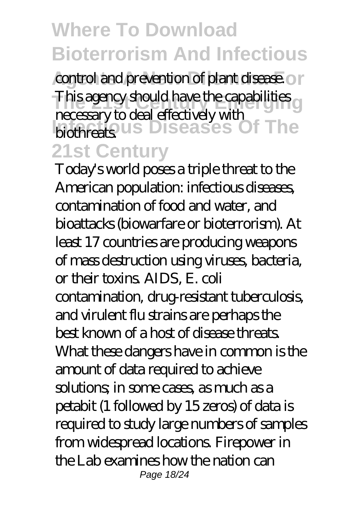control and prevention of plant disease. On **This agency should have the capabilities Infectious** Diseases Of The **21st Century** necessary to deal effectively with

Today's world poses a triple threat to the American population: infectious diseases, contamination of food and water, and bioattacks (biowarfare or bioterrorism). At least 17 countries are producing weapons of mass destruction using viruses, bacteria, or their toxins. AIDS, E. coli contamination, drug-resistant tuberculosis, and virulent flu strains are perhaps the best known of a host of disease threats. What these dangers have in common is the amount of data required to achieve solutions; in some cases, as much as a petabit (1 followed by 15 zeros) of data is required to study large numbers of samples from widespread locations. Firepower in the Lab examines how the nation can Page 18/24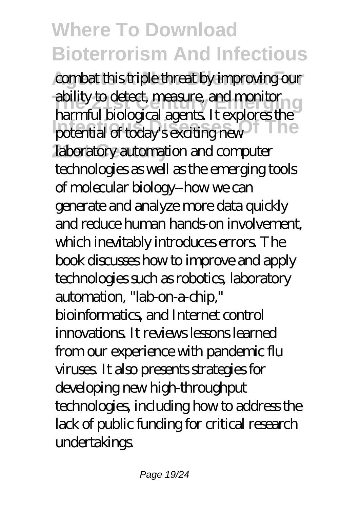combat this triple threat by improving our **The 21st Century Emerging** ability to detect, measure, and monitor **Infectious Diseases Of The** potential of today's exciting new laboratory automation and computer harmful biological agents. It explores the technologies as well as the emerging tools of molecular biology--how we can generate and analyze more data quickly and reduce human hands-on involvement, which inevitably introduces errors. The book discusses how to improve and apply technologies such as robotics, laboratory automation, "lab-on-a-chip," bioinformatics, and Internet control innovations. It reviews lessons learned from our experience with pandemic flu viruses. It also presents strategies for developing new high-throughput technologies, including how to address the lack of public funding for critical research undertakings.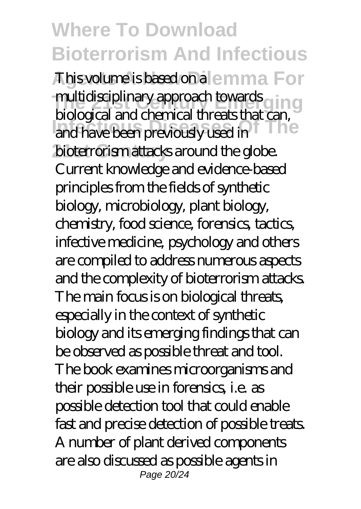This volume is based on a lemma For multidisciplinary approach towards g in g **Independent of Theory of Theory and have been previously used in** bioterrorism attacks around the globe. biological and chemical threats that can, Current knowledge and evidence-based principles from the fields of synthetic biology, microbiology, plant biology, chemistry, food science, forensics, tactics, infective medicine, psychology and others are compiled to address numerous aspects and the complexity of bioterrorism attacks. The main focus is on biological threats, especially in the context of synthetic biology and its emerging findings that can be observed as possible threat and tool. The book examines microorganisms and their possible use in forensics, i.e. as possible detection tool that could enable fast and precise detection of possible treats. A number of plant derived components are also discussed as possible agents in Page 20/24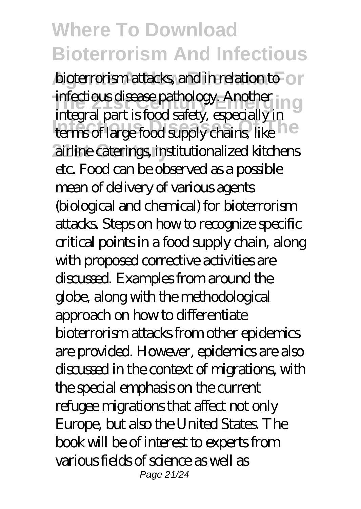bioterrorism attacks, and in relation to or **The 21st Century Emergency. Another in graduate the 21st Century Emergency.** Integral part Brookhandy, capacitaly in **21st Century** airline caterings, institutionalized kitchens integral part is food safety, especially in etc. Food can be observed as a possible mean of delivery of various agents (biological and chemical) for bioterrorism attacks. Steps on how to recognize specific critical points in a food supply chain, along with proposed corrective activities are discussed. Examples from around the globe, along with the methodological approach on how to differentiate bioterrorism attacks from other epidemics are provided. However, epidemics are also discussed in the context of migrations, with the special emphasis on the current refugee migrations that affect not only Europe, but also the United States. The book will be of interest to experts from various fields of science as well as Page 21/24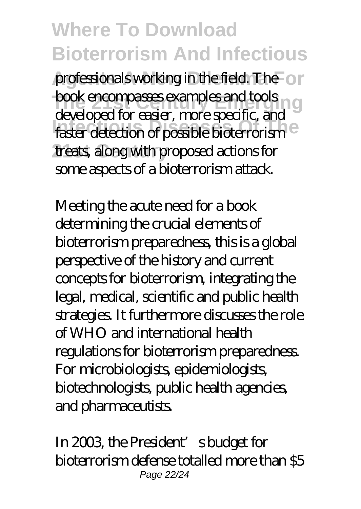professionals working in the field. The or **The 21st Century Emergency Emergency Emergency Century Emergency Century Emergency Century Emergency** Infectious Castel, *Indeepealis*, and there is a faster detection of possible bioterrorism<sup>e</sup> **21st Century** treats, along with proposed actions for developed for easier, more specific, and some aspects of a bioterrorism attack.

Meeting the acute need for a book determining the crucial elements of bioterrorism preparedness, this is a global perspective of the history and current concepts for bioterrorism, integrating the legal, medical, scientific and public health strategies. It furthermore discusses the role of WHO and international health regulations for bioterrorism preparedness. For microbiologists, epidemiologists, biotechnologists, public health agencies, and pharmaceutists.

In 2003, the President's budget for bioterrorism defense totalled more than \$5 Page 22/24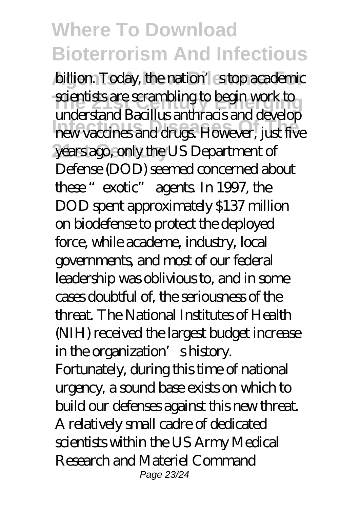billion. Today, the nation's stop academic **The 21st Century Emergency Emergency Emergency Emergency Scientists are scientists and produced are all the 2 Infectious Diseases Of The** new vaccines and drugs. However, just five **21st Century** years ago, only the US Department of understand Bacillus anthracis and develop Defense (DOD) seemed concerned about these "exotic" agents. In 1997, the DOD spent approximately \$137 million on biodefense to protect the deployed force, while academe, industry, local governments, and most of our federal leadership was oblivious to, and in some cases doubtful of, the seriousness of the threat. The National Institutes of Health (NIH) received the largest budget increase in the organization' shistory. Fortunately, during this time of national urgency, a sound base exists on which to build our defenses against this new threat. A relatively small cadre of dedicated scientists within the US Army Medical Research and Materiel Command Page 23/24